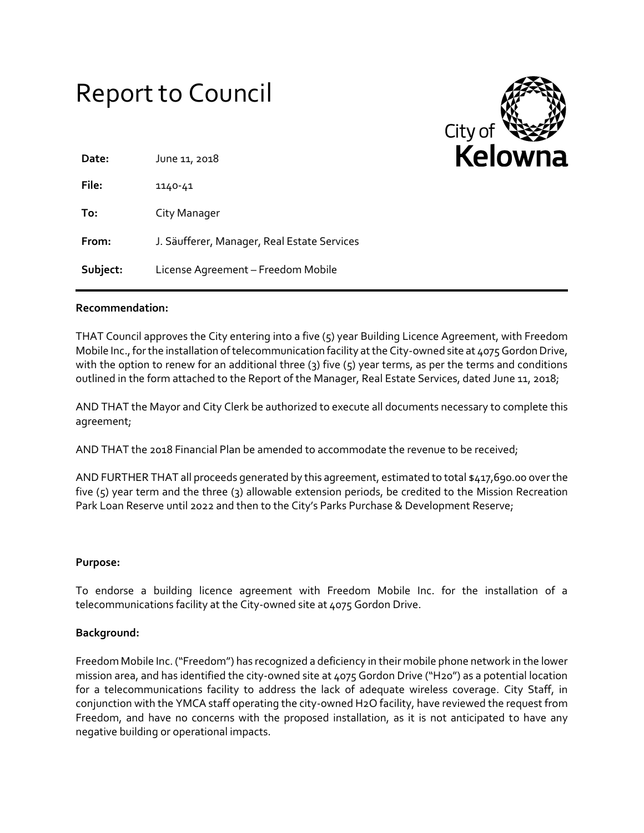# Report to Council



| Date:    | June 11, 2018                               |
|----------|---------------------------------------------|
| File:    | 1140-41                                     |
| To:      | City Manager                                |
| From:    | J. Säufferer, Manager, Real Estate Services |
| Subject: | License Agreement - Freedom Mobile          |

### **Recommendation:**

THAT Council approves the City entering into a five (5) year Building Licence Agreement, with Freedom Mobile Inc., for the installation of telecommunication facility at the City-owned site at 4075 Gordon Drive, with the option to renew for an additional three (3) five (5) year terms, as per the terms and conditions outlined in the form attached to the Report of the Manager, Real Estate Services, dated June 11, 2018;

AND THAT the Mayor and City Clerk be authorized to execute all documents necessary to complete this agreement;

AND THAT the 2018 Financial Plan be amended to accommodate the revenue to be received;

AND FURTHER THAT all proceeds generated by this agreement, estimated to total \$417,690.00 over the five (5) year term and the three (3) allowable extension periods, be credited to the Mission Recreation Park Loan Reserve until 2022 and then to the City's Parks Purchase & Development Reserve;

### **Purpose:**

To endorse a building licence agreement with Freedom Mobile Inc. for the installation of a telecommunications facility at the City-owned site at 4075 Gordon Drive.

### **Background:**

Freedom Mobile Inc. ("Freedom") has recognized a deficiency in their mobile phone network in the lower mission area, and has identified the city-owned site at 4075 Gordon Drive ("H20") as a potential location for a telecommunications facility to address the lack of adequate wireless coverage. City Staff, in conjunction with the YMCA staff operating the city-owned H2O facility, have reviewed the request from Freedom, and have no concerns with the proposed installation, as it is not anticipated to have any negative building or operational impacts.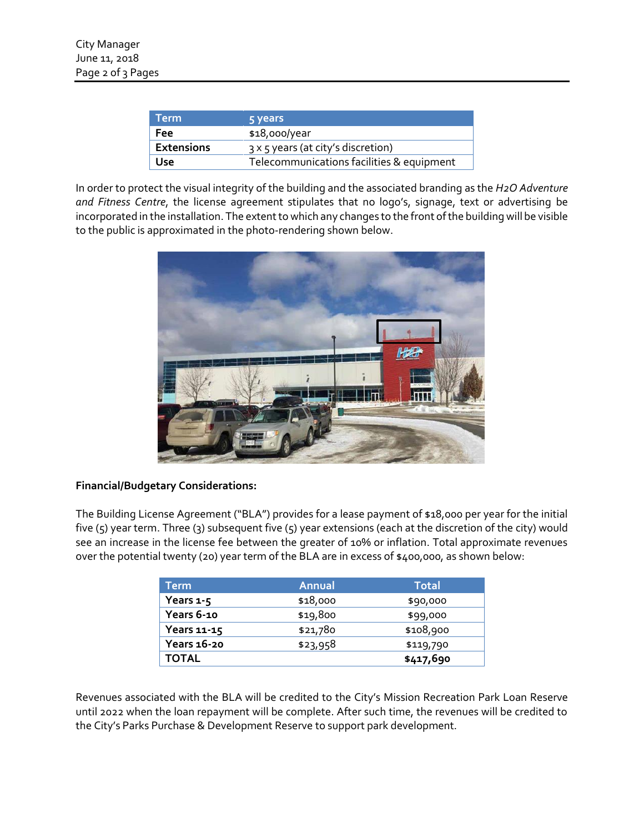| <b>Term</b>       | 5 years                                   |
|-------------------|-------------------------------------------|
| Fee               | $$18,000$ /year                           |
| <b>Extensions</b> | 3 x 5 years (at city's discretion)        |
| Use               | Telecommunications facilities & equipment |

In order to protect the visual integrity of the building and the associated branding as the *H2O Adventure and Fitness Centre*, the license agreement stipulates that no logo's, signage, text or advertising be incorporated in the installation. The extent to which any changes to the front of the building will be visible to the public is approximated in the photo-rendering shown below.



# **Financial/Budgetary Considerations:**

The Building License Agreement ("BLA") provides for a lease payment of \$18,000 per year for the initial five (5) year term. Three (3) subsequent five (5) year extensions (each at the discretion of the city) would see an increase in the license fee between the greater of 10% or inflation. Total approximate revenues over the potential twenty (20) year term of the BLA are in excess of \$400,000, as shown below:

| Term         | <b>Annual</b> | Total     |
|--------------|---------------|-----------|
| Years 1-5    | \$18,000      | \$90,000  |
| Years 6-10   | \$19,800      | \$99,000  |
| Years 11-15  | \$21,780      | \$108,900 |
| Years 16-20  | \$23,958      | \$119,790 |
| <b>TOTAL</b> |               | \$417,690 |

Revenues associated with the BLA will be credited to the City's Mission Recreation Park Loan Reserve until 2022 when the loan repayment will be complete. After such time, the revenues will be credited to the City's Parks Purchase & Development Reserve to support park development.